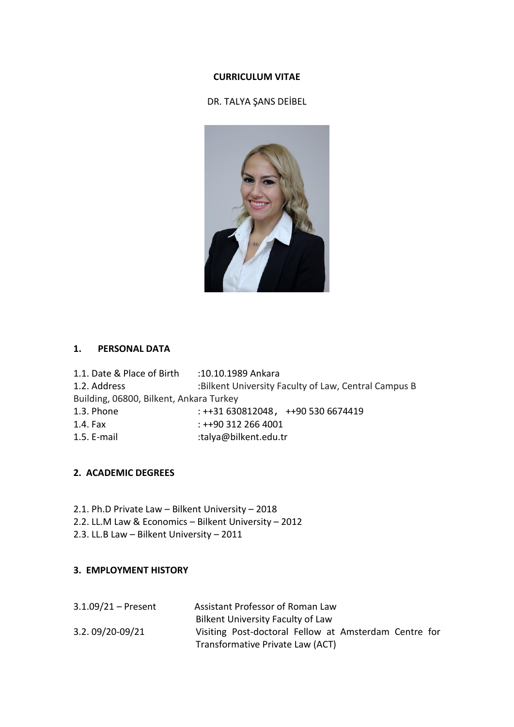#### **CURRICULUM VITAE**

# DR. TALYA ŞANS DEİBEL



## **1. PERSONAL DATA**

| 1.1. Date & Place of Birth              | :10.10.1989 Ankara                                   |
|-----------------------------------------|------------------------------------------------------|
| 1.2. Address                            | :Bilkent University Faculty of Law, Central Campus B |
| Building, 06800, Bilkent, Ankara Turkey |                                                      |
| 1.3. Phone                              | $: ++31630812048, ++905306674419$                    |
| 1.4. Fax                                | $: ++903122664001$                                   |
| 1.5. E-mail                             | :talya@bilkent.edu.tr                                |

#### **2. ACADEMIC DEGREES**

- 2.1. Ph.D Private Law Bilkent University 2018
- 2.2. LL.M Law & Economics Bilkent University 2012
- 2.3. LL.B Law Bilkent University 2011

#### **3. EMPLOYMENT HISTORY**

| $3.1.09/21 -$ Present | Assistant Professor of Roman Law                      |
|-----------------------|-------------------------------------------------------|
|                       | Bilkent University Faculty of Law                     |
| 3.2.09/20-09/21       | Visiting Post-doctoral Fellow at Amsterdam Centre for |
|                       | Transformative Private Law (ACT)                      |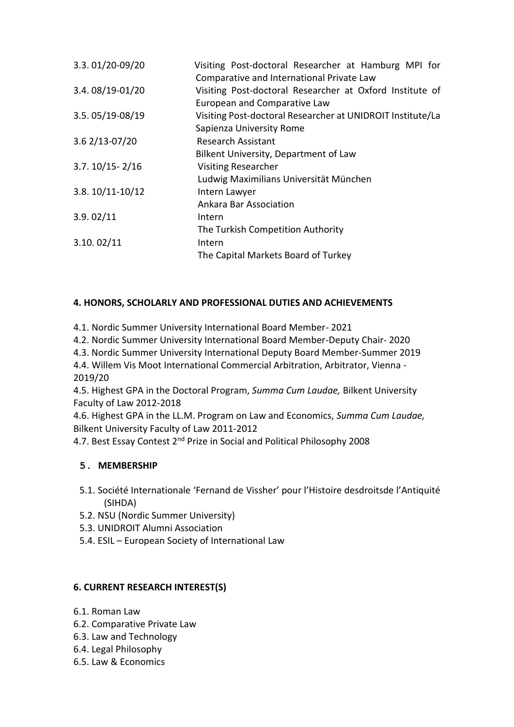| 3.3.01/20-09/20    | Visiting Post-doctoral Researcher at Hamburg MPI for                                                  |
|--------------------|-------------------------------------------------------------------------------------------------------|
| 3.4.08/19-01/20    | Comparative and International Private Law<br>Visiting Post-doctoral Researcher at Oxford Institute of |
|                    | European and Comparative Law                                                                          |
| 3.5.05/19-08/19    | Visiting Post-doctoral Researcher at UNIDROIT Institute/La                                            |
|                    | Sapienza University Rome                                                                              |
| 3.6 2/13-07/20     | <b>Research Assistant</b>                                                                             |
|                    | Bilkent University, Department of Law                                                                 |
| $3.7.10/15 - 2/16$ | <b>Visiting Researcher</b>                                                                            |
|                    | Ludwig Maximilians Universität München                                                                |
| 3.8.10/11-10/12    | Intern Lawyer                                                                                         |
|                    | Ankara Bar Association                                                                                |
| 3.9.02/11          | Intern                                                                                                |
|                    | The Turkish Competition Authority                                                                     |
| 3.10.02/11         | Intern                                                                                                |
|                    | The Capital Markets Board of Turkey                                                                   |
|                    |                                                                                                       |

## **4. HONORS, SCHOLARLY AND PROFESSIONAL DUTIES AND ACHIEVEMENTS**

- 4.1. Nordic Summer University International Board Member- 2021
- 4.2. Nordic Summer University International Board Member-Deputy Chair- 2020
- 4.3. Nordic Summer University International Deputy Board Member-Summer 2019

4.4. Willem Vis Moot International Commercial Arbitration, Arbitrator, Vienna - 2019/20

4.5. Highest GPA in the Doctoral Program, *Summa Cum Laudae,* Bilkent University Faculty of Law 2012-2018

4.6. Highest GPA in the LL.M. Program on Law and Economics, *Summa Cum Laudae,*  Bilkent University Faculty of Law 2011-2012

4.7. Best Essay Contest 2<sup>nd</sup> Prize in Social and Political Philosophy 2008

## **5. MEMBERSHIP**

- 5.1. Société Internationale 'Fernand de Vissher' pour l'Histoire desdroitsde l'Antiquité (SIHDA)
- 5.2. NSU (Nordic Summer University)
- 5.3. UNIDROIT Alumni Association
- 5.4. ESIL European Society of International Law

## **6. CURRENT RESEARCH INTEREST(S)**

- 6.1. Roman Law
- 6.2. Comparative Private Law
- 6.3. Law and Technology
- 6.4. Legal Philosophy
- 6.5. Law & Economics